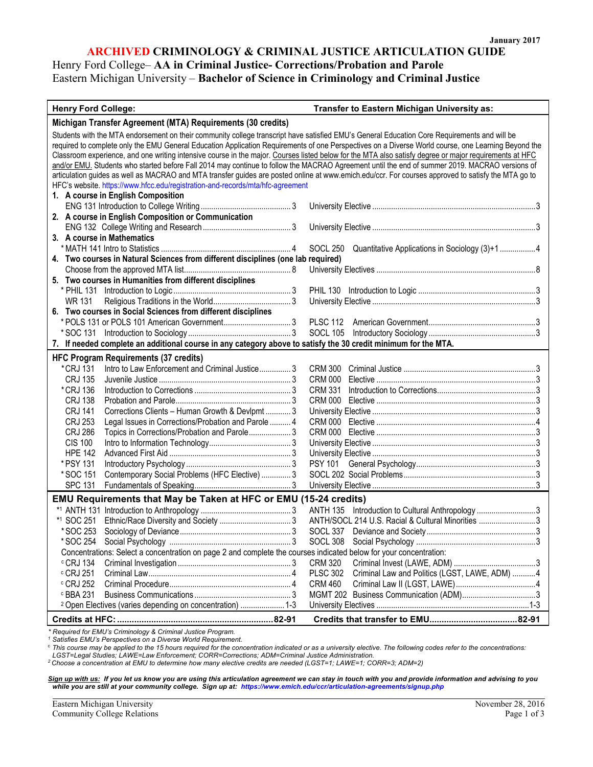# **ARCHIVED CRIMINOLOGY & CRIMINAL JUSTICE ARTICULATION GUIDE** Henry Ford College– **AA in Criminal Justice- Corrections/Probation and Parole**

Eastern Michigan University – **Bachelor of Science in Criminology and Criminal Justice**

#### **Henry Ford College: Transfer to Eastern Michigan University as:**

| Michigan Transfer Agreement (MTA) Requirements (30 credits)                                                                                            |                                                                   |
|--------------------------------------------------------------------------------------------------------------------------------------------------------|-------------------------------------------------------------------|
| Students with the MTA endorsement on their community college transcript have satisfied EMU's General Education Core Requirements and will be           |                                                                   |
| required to complete only the EMU General Education Application Requirements of one Perspectives on a Diverse World course, one Learning Beyond the    |                                                                   |
| Classroom experience, and one writing intensive course in the major. Courses listed below for the MTA also satisfy degree or major requirements at HFC |                                                                   |
| and/or EMU. Students who started before Fall 2014 may continue to follow the MACRAO Agreement until the end of summer 2019. MACRAO versions of         |                                                                   |
| articulation guides as well as MACRAO and MTA transfer guides are posted online at www.emich.edu/ccr. For courses approved to satisfy the MTA go to    |                                                                   |
| HFC's website. https://www.hfcc.edu/registration-and-records/mta/hfc-agreement                                                                         |                                                                   |
| 1. A course in English Composition                                                                                                                     |                                                                   |
|                                                                                                                                                        |                                                                   |
| 2. A course in English Composition or Communication                                                                                                    |                                                                   |
|                                                                                                                                                        |                                                                   |
| 3. A course in Mathematics                                                                                                                             |                                                                   |
|                                                                                                                                                        | SOCL 250 Quantitative Applications in Sociology (3)+1 4           |
| 4. Two courses in Natural Sciences from different disciplines (one lab required)                                                                       |                                                                   |
|                                                                                                                                                        |                                                                   |
| 5. Two courses in Humanities from different disciplines                                                                                                |                                                                   |
|                                                                                                                                                        |                                                                   |
| WR 131                                                                                                                                                 |                                                                   |
| 6. Two courses in Social Sciences from different disciplines                                                                                           |                                                                   |
|                                                                                                                                                        |                                                                   |
|                                                                                                                                                        |                                                                   |
| 7. If needed complete an additional course in any category above to satisfy the 30 credit minimum for the MTA.                                         |                                                                   |
|                                                                                                                                                        |                                                                   |
| <b>HFC Program Requirements (37 credits)</b>                                                                                                           |                                                                   |
| * CRJ 131                                                                                                                                              |                                                                   |
| <b>CRJ 135</b>                                                                                                                                         |                                                                   |
| * CRJ 136                                                                                                                                              | <b>CRM 331</b>                                                    |
| <b>CRJ 138</b>                                                                                                                                         |                                                                   |
| Corrections Clients - Human Growth & Devlpmt  3<br><b>CRJ 141</b>                                                                                      |                                                                   |
| Legal Issues in Corrections/Probation and Parole  4<br><b>CRJ 253</b>                                                                                  |                                                                   |
| Topics in Corrections/Probation and Parole 3<br><b>CRJ 286</b>                                                                                         |                                                                   |
| <b>CIS 100</b>                                                                                                                                         |                                                                   |
| <b>HPE 142</b>                                                                                                                                         |                                                                   |
| * PSY 131                                                                                                                                              |                                                                   |
| Contemporary Social Problems (HFC Elective)  3<br>*SOC 151                                                                                             |                                                                   |
| <b>SPC 131</b>                                                                                                                                         |                                                                   |
| EMU Requirements that May be Taken at HFC or EMU (15-24 credits)                                                                                       |                                                                   |
|                                                                                                                                                        | ANTH 135 Introduction to Cultural Anthropology3                   |
| *1 SOC 251                                                                                                                                             | ANTH/SOCL 214 U.S. Racial & Cultural Minorities 3                 |
| *SOC 253                                                                                                                                               |                                                                   |
| * SOC 254                                                                                                                                              |                                                                   |
| Concentrations: Select a concentration on page 2 and complete the courses indicated below for your concentration:                                      |                                                                   |
| $\degree$ CRJ 134                                                                                                                                      | CRM 320                                                           |
| $\degree$ CRJ 251                                                                                                                                      | Criminal Law and Politics (LGST, LAWE, ADM)  4<br><b>PLSC 302</b> |
| c CRJ 252                                                                                                                                              | <b>CRM 460</b>                                                    |
| c BBA 231                                                                                                                                              |                                                                   |
| <sup>2</sup> Open Electives (varies depending on concentration)  1-3                                                                                   |                                                                   |
|                                                                                                                                                        |                                                                   |
|                                                                                                                                                        |                                                                   |

*\* Required for EMU's Criminology & Criminal Justice Program. 1 Satisfies EMU's Perspectives on a Diverse World Requirement.*

<sup>c</sup> *This course may be applied to the 15 hours required for the concentration indicated or as a university elective. The following codes refer to the concentrations:* 

LGST=Legal Studies; LAWE=Law Enforcement; CORR=Corrections; ADM=Criminal Justice Administration.<br><sup>2</sup> Choose a concentration at EMU to determine how many elective credits are needed (LGST=1; LAWE=1; CORR=3; ADM=2)

*Sign up with us: If you let us know you are using this articulation agreement we can stay in touch with you and provide information and advising to you while you are still at your community college. Sign up at: [https://www.emich.edu/ccr/articulation-agreements/signup.php](http://www.emich.edu/ccr/trackingsystem/Enter.php)*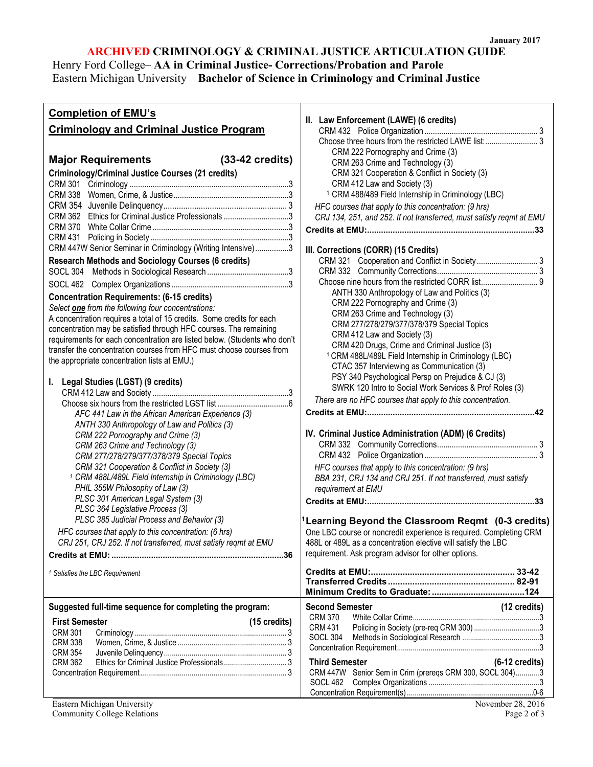# **ARCHIVED CRIMINOLOGY & CRIMINAL JUSTICE ARTICULATION GUIDE**

**II. Law Enforcement (LAWE) (6 credits)**

CRM 432 Police Organization ...................................................... 3 Choose three hours from the restricted LAWE list: ......................... 3

Henry Ford College– **AA in Criminal Justice- Corrections/Probation and Parole** 

### Eastern Michigan University – **Bachelor of Science in Criminology and Criminal Justice**

# **Completion of EMU's**

### **Criminology and Criminal Justice Program**

| CRM 222 Pornography and Crime (3)<br>CRM 263 Crime and Technology (3)<br>CRM 321 Cooperation & Conflict in Society (3)<br>CRM 412 Law and Society (3)<br><sup>1</sup> CRM 488/489 Field Internship in Criminology (LBC)<br>HFC courses that apply to this concentration: (9 hrs)<br>CRJ 134, 251, and 252. If not transferred, must satisfy regmt at EMU<br>III. Corrections (CORR) (15 Credits)<br>ANTH 330 Anthropology of Law and Politics (3)<br>CRM 222 Pornography and Crime (3)<br>CRM 263 Crime and Technology (3)<br>CRM 277/278/279/377/378/379 Special Topics<br>CRM 412 Law and Society (3)<br>CRM 420 Drugs, Crime and Criminal Justice (3)<br><sup>1</sup> CRM 488L/489L Field Internship in Criminology (LBC)<br>CTAC 357 Interviewing as Communication (3)<br>PSY 340 Psychological Persp on Prejudice & CJ (3)<br>SWRK 120 Intro to Social Work Services & Prof Roles (3)<br>There are no HFC courses that apply to this concentration.<br>IV. Criminal Justice Administration (ADM) (6 Credits)<br>HFC courses that apply to this concentration: (9 hrs)<br>BBA 231, CRJ 134 and CRJ 251. If not transferred, must satisfy |
|----------------------------------------------------------------------------------------------------------------------------------------------------------------------------------------------------------------------------------------------------------------------------------------------------------------------------------------------------------------------------------------------------------------------------------------------------------------------------------------------------------------------------------------------------------------------------------------------------------------------------------------------------------------------------------------------------------------------------------------------------------------------------------------------------------------------------------------------------------------------------------------------------------------------------------------------------------------------------------------------------------------------------------------------------------------------------------------------------------------------------------------------|
| requirement at EMU                                                                                                                                                                                                                                                                                                                                                                                                                                                                                                                                                                                                                                                                                                                                                                                                                                                                                                                                                                                                                                                                                                                           |
| $^4$ Learning Beyond the Classroom Reqmt (0-3 credits<br>One LBC course or noncredit experience is required. Completing CRM<br>488L or 489L as a concentration elective will satisfy the LBC<br>requirement. Ask program advisor for other options.<br><b>Transferred Credits</b><br>82-91                                                                                                                                                                                                                                                                                                                                                                                                                                                                                                                                                                                                                                                                                                                                                                                                                                                   |
| (12 credits)<br><b>Second Semester</b><br><b>CRM 370</b><br><b>CRM 431</b><br>SOCL 304<br><b>Third Semester</b><br>$(6-12 \text{ credits})$<br>CRM 447W Senior Sem in Crim (prereqs CRM 300, SOCL 304)3                                                                                                                                                                                                                                                                                                                                                                                                                                                                                                                                                                                                                                                                                                                                                                                                                                                                                                                                      |
|                                                                                                                                                                                                                                                                                                                                                                                                                                                                                                                                                                                                                                                                                                                                                                                                                                                                                                                                                                                                                                                                                                                                              |